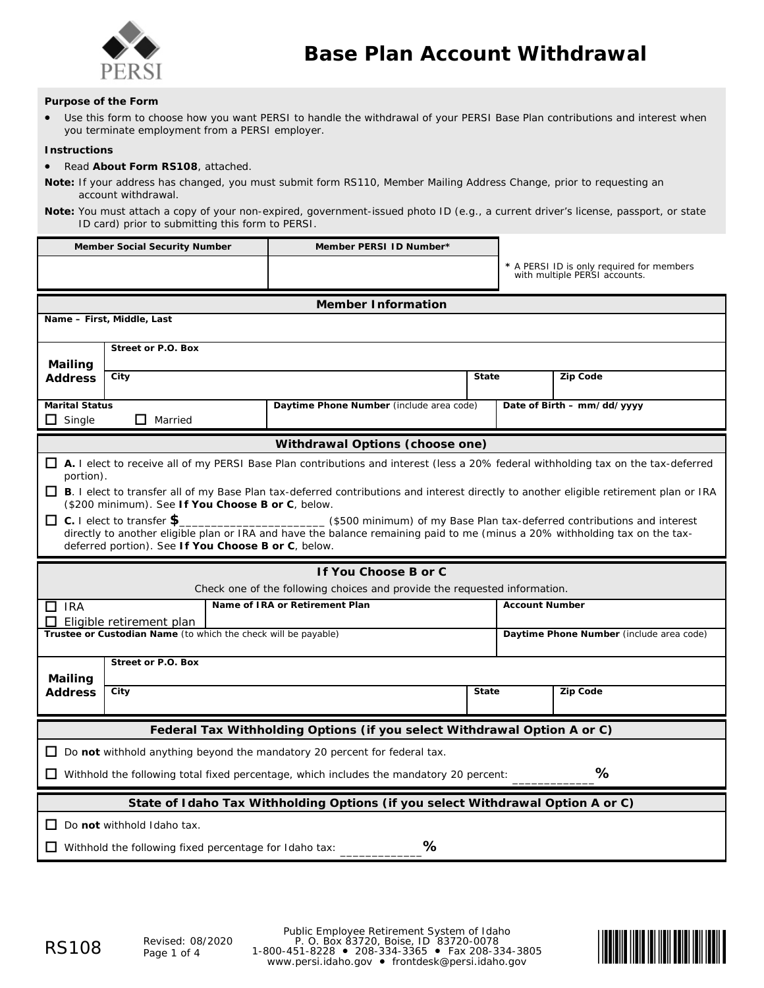

### **Purpose of the Form**

• Use this form to choose how you want PERSI to handle the withdrawal of your PERSI Base Plan contributions and interest when you terminate employment from a PERSI employer.

### **Instructions**

### • Read **About Form RS108**, attached.

**Note:** If your address has changed, you must submit form RS110, *Member Mailing Address Change*, prior to requesting an account withdrawal.

**Note:** You must attach a copy of your non-expired, government-issued photo ID (e.g., a current driver's license, passport, or state ID card) prior to submitting this form to PERSI.

|                                                                                                                                                    | <b>Member Social Security Number</b>                | Member PERSI ID Number*                                                                                                                          |              |                                          |                                                                            |  |
|----------------------------------------------------------------------------------------------------------------------------------------------------|-----------------------------------------------------|--------------------------------------------------------------------------------------------------------------------------------------------------|--------------|------------------------------------------|----------------------------------------------------------------------------|--|
|                                                                                                                                                    |                                                     |                                                                                                                                                  |              |                                          | * A PERSI ID is only required for members<br>with multiple PERSI accounts. |  |
|                                                                                                                                                    |                                                     |                                                                                                                                                  |              |                                          |                                                                            |  |
|                                                                                                                                                    |                                                     | <b>Member Information</b>                                                                                                                        |              |                                          |                                                                            |  |
|                                                                                                                                                    | Name - First, Middle, Last                          |                                                                                                                                                  |              |                                          |                                                                            |  |
| Street or P.O. Box                                                                                                                                 |                                                     |                                                                                                                                                  |              |                                          |                                                                            |  |
| Mailing                                                                                                                                            |                                                     |                                                                                                                                                  |              |                                          |                                                                            |  |
| <b>Address</b>                                                                                                                                     | City                                                |                                                                                                                                                  | <b>State</b> |                                          | <b>Zip Code</b>                                                            |  |
| <b>Marital Status</b>                                                                                                                              |                                                     | Daytime Phone Number (include area code)                                                                                                         |              |                                          | Date of Birth - mm/dd/yyyy                                                 |  |
| ப<br>Single                                                                                                                                        | $\Box$ Married                                      |                                                                                                                                                  |              |                                          |                                                                            |  |
|                                                                                                                                                    |                                                     | Withdrawal Options (choose one)                                                                                                                  |              |                                          |                                                                            |  |
| □ A. I elect to receive all of my PERSI Base Plan contributions and interest (less a 20% federal withholding tax on the tax-deferred<br>portion).  |                                                     |                                                                                                                                                  |              |                                          |                                                                            |  |
|                                                                                                                                                    |                                                     | <b>□ B</b> . I elect to transfer all of my Base Plan tax-deferred contributions and interest directly to another eligible retirement plan or IRA |              |                                          |                                                                            |  |
|                                                                                                                                                    | (\$200 minimum). See If You Choose B or C, below.   |                                                                                                                                                  |              |                                          |                                                                            |  |
|                                                                                                                                                    | $\Box$ C. I elect to transfer $\$$                  | ___________ (\$500 minimum) of my Base Plan tax-deferred contributions and interest                                                              |              |                                          |                                                                            |  |
|                                                                                                                                                    | deferred portion). See If You Choose B or C, below. | directly to another eligible plan or IRA and have the balance remaining paid to me (minus a 20% withholding tax on the tax-                      |              |                                          |                                                                            |  |
|                                                                                                                                                    |                                                     |                                                                                                                                                  |              |                                          |                                                                            |  |
| If You Choose B or C                                                                                                                               |                                                     |                                                                                                                                                  |              |                                          |                                                                            |  |
| Check one of the following choices and provide the requested information.<br>Name of IRA or Retirement Plan<br><b>Account Number</b><br>$\Box$ IRA |                                                     |                                                                                                                                                  |              |                                          |                                                                            |  |
| Eligible retirement plan                                                                                                                           |                                                     |                                                                                                                                                  |              |                                          |                                                                            |  |
| Trustee or Custodian Name (to which the check will be payable)                                                                                     |                                                     |                                                                                                                                                  |              | Daytime Phone Number (include area code) |                                                                            |  |
| <b>Street or P.O. Box</b>                                                                                                                          |                                                     |                                                                                                                                                  |              |                                          |                                                                            |  |
| Mailing                                                                                                                                            |                                                     |                                                                                                                                                  |              |                                          |                                                                            |  |
| <b>Address</b>                                                                                                                                     | City                                                |                                                                                                                                                  | <b>State</b> |                                          | <b>Zip Code</b>                                                            |  |
| Federal Tax Withholding Options (if you select Withdrawal Option A or C)                                                                           |                                                     |                                                                                                                                                  |              |                                          |                                                                            |  |
| $\Box$ Do not withhold anything <i>beyond</i> the mandatory 20 percent for federal tax.                                                            |                                                     |                                                                                                                                                  |              |                                          |                                                                            |  |
| %<br>$\Box$ Withhold the following <i>total</i> fixed percentage, which <i>includes</i> the mandatory 20 percent:                                  |                                                     |                                                                                                                                                  |              |                                          |                                                                            |  |
| State of Idaho Tax Withholding Options (if you select Withdrawal Option A or C)                                                                    |                                                     |                                                                                                                                                  |              |                                          |                                                                            |  |
| Do not withhold Idaho tax.                                                                                                                         |                                                     |                                                                                                                                                  |              |                                          |                                                                            |  |
| %                                                                                                                                                  |                                                     |                                                                                                                                                  |              |                                          |                                                                            |  |
| $\Box$ Withhold the following fixed percentage for Idaho tax:                                                                                      |                                                     |                                                                                                                                                  |              |                                          |                                                                            |  |

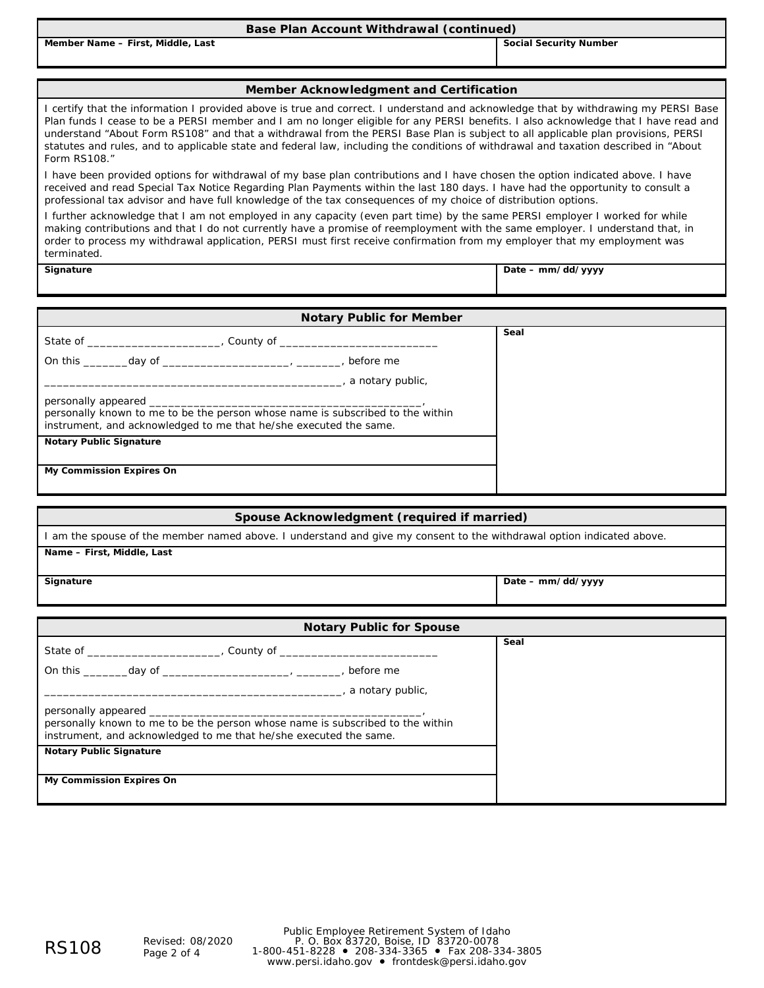| Base Plan Account Withdrawal (continued) |  |  |  |  |  |  |
|------------------------------------------|--|--|--|--|--|--|
|------------------------------------------|--|--|--|--|--|--|

**Member Name – First, Middle, Last Social Security Number Social Security Number Social Security Number** 

### **Member Acknowledgment and Certification**

I certify that the information I provided above is true and correct. I understand and acknowledge that by withdrawing my PERSI Base Plan funds I cease to be a PERSI member and I am no longer eligible for any PERSI benefits. I also acknowledge that I have read and understand "About Form RS108" and that a withdrawal from the PERSI Base Plan is subject to all applicable plan provisions, PERSI statutes and rules, and to applicable state and federal law, including the conditions of withdrawal and taxation described in "About Form RS108."

I have been provided options for withdrawal of my base plan contributions and I have chosen the option indicated above. I have received and read *Special Tax Notice Regarding Plan Payments* within the last 180 days. I have had the opportunity to consult a professional tax advisor and have full knowledge of the tax consequences of my choice of distribution options.

I further acknowledge that I am not employed in any capacity (even part time) by the same PERSI employer I worked for while making contributions and that I do not currently have a promise of reemployment with the same employer. I understand that, in order to process my withdrawal application, PERSI must first receive confirmation from my employer that my employment was terminated.

**Signature Date – mm/dd/yyyy**

| <b>Notary Public for Member</b>                                                                                                                                                                                               |      |  |  |  |
|-------------------------------------------------------------------------------------------------------------------------------------------------------------------------------------------------------------------------------|------|--|--|--|
|                                                                                                                                                                                                                               | Seal |  |  |  |
| On this day of the control of the control of the control of the control of the control of the control of the control of the control of the control of the control of the control of the control of the control of the control |      |  |  |  |
| ___________, a notary public,                                                                                                                                                                                                 |      |  |  |  |
|                                                                                                                                                                                                                               |      |  |  |  |
| personally known to me to be the person whose name is subscribed to the within<br>instrument, and acknowledged to me that he/she executed the same.                                                                           |      |  |  |  |
| <b>Notary Public Signature</b>                                                                                                                                                                                                |      |  |  |  |
| My Commission Expires On                                                                                                                                                                                                      |      |  |  |  |

| Spouse Acknowledgment (required if married)                                                                           |                   |  |  |  |
|-----------------------------------------------------------------------------------------------------------------------|-------------------|--|--|--|
| I am the spouse of the member named above. I understand and give my consent to the withdrawal option indicated above. |                   |  |  |  |
| Name - First, Middle, Last                                                                                            |                   |  |  |  |
| Signature                                                                                                             | Date - mm/dd/yyyy |  |  |  |

| <b>Notary Public for Spouse</b>                                                                                                                     |      |  |  |
|-----------------------------------------------------------------------------------------------------------------------------------------------------|------|--|--|
|                                                                                                                                                     | Seal |  |  |
|                                                                                                                                                     |      |  |  |
| __, a notary public,                                                                                                                                |      |  |  |
| personally known to me to be the person whose name is subscribed to the within<br>instrument, and acknowledged to me that he/she executed the same. |      |  |  |
| <b>Notary Public Signature</b>                                                                                                                      |      |  |  |
| My Commission Expires On                                                                                                                            |      |  |  |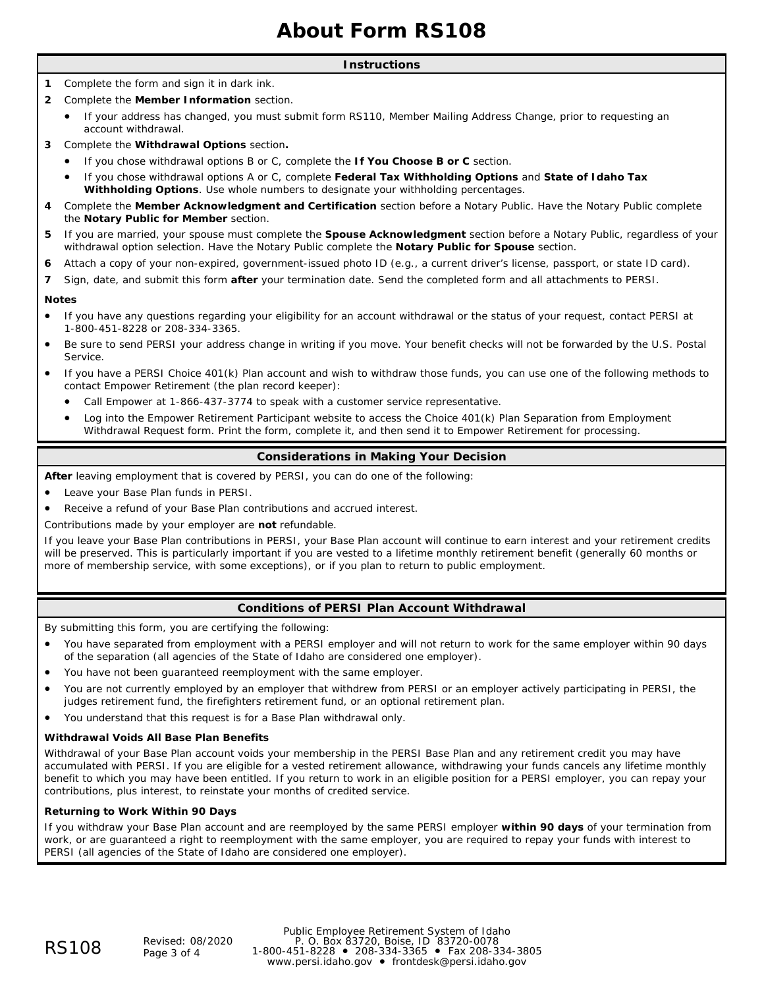# **About Form RS108**

### **Instructions**

- **1** Complete the form and sign it in dark ink.
- **2** Complete the **Member Information** section.
- If your address has changed, you must submit form RS110, *Member Mailing Address Change*, prior to requesting an account withdrawal.
- **3** Complete the **Withdrawal Options** section**.**
	- If you chose withdrawal options B or C, complete the **If You Choose B or C** section.
	- If you chose withdrawal options A or C, complete **Federal Tax Withholding Options** and **State of Idaho Tax Withholding Options**. Use whole numbers to designate your withholding percentages.
- **4** Complete the **Member Acknowledgment and Certification** section before a Notary Public. Have the Notary Public complete the **Notary Public for Member** section.
- **5** If you are married, your spouse must complete the **Spouse Acknowledgment** section before a Notary Public, regardless of your withdrawal option selection. Have the Notary Public complete the **Notary Public for Spouse** section.
- **6** Attach a copy of your non-expired, government-issued photo ID (e.g., a current driver's license, passport, or state ID card).
- **7** Sign, date, and submit this form **after** your termination date. Send the completed form and all attachments to PERSI.

### **Notes**

- If you have any questions regarding your eligibility for an account withdrawal or the status of your request, contact PERSI at 1-800-451-8228 or 208-334-3365.
- Be sure to send PERSI your address change in writing if you move. Your benefit checks will not be forwarded by the U.S. Postal Service.
- If you have a PERSI Choice 401(k) Plan account and wish to withdraw those funds, you can use one of the following methods to contact Empower Retirement (the plan record keeper):
	- Call Empower at 1-866-437-3774 to speak with a customer service representative.
	- Log into the Empower Retirement Participant website to access the *Choice 401(k) Plan Separation from Employment Withdrawal Request* form. Print the form, complete it, and then send it to Empower Retirement for processing.

# **Considerations in Making Your Decision**

**After** leaving employment that is covered by PERSI, you can do one of the following:

- Leave your Base Plan funds in PERSI.
- Receive a refund of your Base Plan contributions and accrued interest.

Contributions made by your employer are **not** refundable.

If you leave your Base Plan contributions in PERSI, your Base Plan account will continue to earn interest and your retirement credits will be preserved. This is particularly important if you are vested to a lifetime monthly retirement benefit (generally 60 months or more of membership service, with some exceptions), or if you plan to return to public employment.

### **Conditions of PERSI Plan Account Withdrawal**

By submitting this form, you are certifying the following:

- You have separated from employment with a PERSI employer and will not return to work for the same employer within 90 days of the separation (all agencies of the State of Idaho are considered one employer).
- You have not been guaranteed reemployment with the same employer.
- You are not currently employed by an employer that withdrew from PERSI or an employer actively participating in PERSI, the judges retirement fund, the firefighters retirement fund, or an optional retirement plan.
- You understand that this request is for a Base Plan withdrawal only.

### **Withdrawal Voids All Base Plan Benefits**

Withdrawal of your Base Plan account voids your membership in the PERSI Base Plan and any retirement credit you may have accumulated with PERSI. If you are eligible for a vested retirement allowance, withdrawing your funds cancels any lifetime monthly benefit to which you may have been entitled. If you return to work in an eligible position for a PERSI employer, you can repay your contributions, plus interest, to reinstate your months of credited service.

### **Returning to Work Within 90 Days**

If you withdraw your Base Plan account and are reemployed by the same PERSI employer **within 90 days** of your termination from work, or are guaranteed a right to reemployment with the same employer, you are required to repay your funds with interest to PERSI (all agencies of the State of Idaho are considered one employer).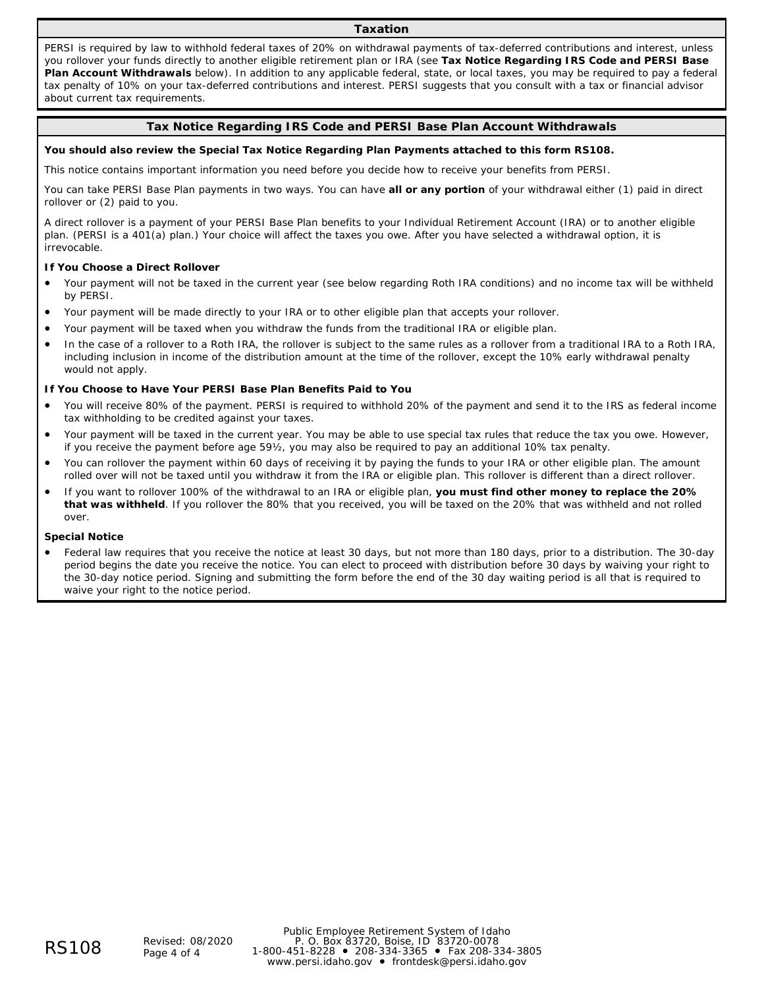### **Taxation**

PERSI is required by law to withhold federal taxes of 20% on withdrawal payments of tax-deferred contributions and interest, unless you rollover your funds directly to another eligible retirement plan or IRA (see **Tax Notice Regarding IRS Code and PERSI Base Plan Account Withdrawals** below). In addition to any applicable federal, state, or local taxes, you may be required to pay a federal tax penalty of 10% on your tax-deferred contributions and interest. PERSI suggests that you consult with a tax or financial advisor about current tax requirements.

### **Tax Notice Regarding IRS Code and PERSI Base Plan Account Withdrawals**

#### **You should also review the** *Special Tax Notice Regarding Plan Payments* **attached to this form RS108.**

This notice contains important information you need before you decide how to receive your benefits from PERSI.

You can take PERSI Base Plan payments in two ways. You can have **all or any portion** of your withdrawal either (1) paid in direct rollover or (2) paid to you.

A direct rollover is a payment of your PERSI Base Plan benefits to your Individual Retirement Account (IRA) or to another eligible plan. (PERSI is a 401(a) plan.) Your choice will affect the taxes you owe. After you have selected a withdrawal option, it is irrevocable.

#### **If You Choose a Direct Rollover**

- Your payment will not be taxed in the current year (see below regarding Roth IRA conditions) and no income tax will be withheld by PERSI.
- Your payment will be made directly to your IRA or to other eligible plan that accepts your rollover.
- Your payment will be taxed when you withdraw the funds from the traditional IRA or eligible plan.
- In the case of a rollover to a Roth IRA, the rollover is subject to the same rules as a rollover from a traditional IRA to a Roth IRA, including inclusion in income of the distribution amount at the time of the rollover, except the 10% early withdrawal penalty would not apply.

# **If You Choose to Have Your PERSI Base Plan Benefits Paid to You**

- You will receive 80% of the payment. PERSI is required to withhold 20% of the payment and send it to the IRS as federal income tax withholding to be credited against your taxes.
- Your payment will be taxed in the current year. You may be able to use special tax rules that reduce the tax you owe. However, if you receive the payment before age 59½, you may also be required to pay an additional 10% tax penalty.
- You can rollover the payment within 60 days of receiving it by paying the funds to your IRA or other eligible plan. The amount rolled over will not be taxed until you withdraw it from the IRA or eligible plan. This rollover is different than a direct rollover.
- If you want to rollover 100% of the withdrawal to an IRA or eligible plan, **you must find other money to replace the 20% that was withheld**. If you rollover the 80% that you received, you will be taxed on the 20% that was withheld and not rolled over.

#### **Special Notice**

• Federal law requires that you receive the notice at least 30 days, but not more than 180 days, prior to a distribution. The 30-day period begins the date you receive the notice. You can elect to proceed with distribution before 30 days by waiving your right to the 30-day notice period. Signing and submitting the form before the end of the 30 day waiting period is all that is required to waive your right to the notice period.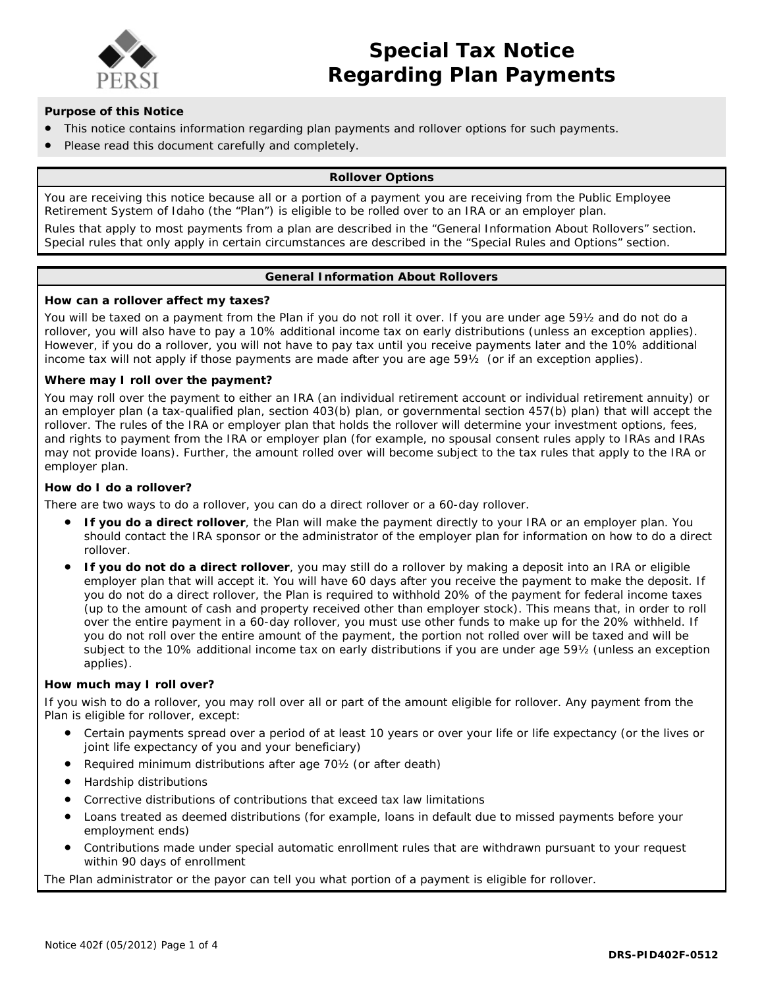

# **Purpose of this Notice**

- This notice contains information regarding plan payments and rollover options for such payments.
- Please read this document carefully and completely.

# **Rollover Options**

You are receiving this notice because all or a portion of a payment you are receiving from the Public Employee Retirement System of Idaho (the "Plan") is eligible to be rolled over to an IRA or an employer plan.

Rules that apply to most payments from a plan are described in the "General Information About Rollovers" section. Special rules that only apply in certain circumstances are described in the "Special Rules and Options" section.

# **General Information About Rollovers**

### **How can a rollover affect my taxes?**

You will be taxed on a payment from the Plan if you do not roll it over. If you are under age 59½ and do not do a rollover, you will also have to pay a 10% additional income tax on early distributions (unless an exception applies). However, if you do a rollover, you will not have to pay tax until you receive payments later and the 10% additional income tax will not apply if those payments are made after you are age 59½ (or if an exception applies).

# **Where may I roll over the payment?**

You may roll over the payment to either an IRA (an individual retirement account or individual retirement annuity) or an employer plan (a tax-qualified plan, section 403(b) plan, or governmental section 457(b) plan) that will accept the rollover. The rules of the IRA or employer plan that holds the rollover will determine your investment options, fees, and rights to payment from the IRA or employer plan (for example, no spousal consent rules apply to IRAs and IRAs may not provide loans). Further, the amount rolled over will become subject to the tax rules that apply to the IRA or employer plan.

# **How do I do a rollover?**

There are two ways to do a rollover, you can do a direct rollover or a 60-day rollover.

- **If you do a direct rollover**, the Plan will make the payment directly to your IRA or an employer plan. You should contact the IRA sponsor or the administrator of the employer plan for information on how to do a direct rollover.
- **If you do not do a direct rollover**, you may still do a rollover by making a deposit into an IRA or eligible employer plan that will accept it. You will have 60 days after you receive the payment to make the deposit. If you do not do a direct rollover, the Plan is required to withhold 20% of the payment for federal income taxes (up to the amount of cash and property received other than employer stock). This means that, in order to roll over the entire payment in a 60-day rollover, you must use other funds to make up for the 20% withheld. If you do not roll over the entire amount of the payment, the portion not rolled over will be taxed and will be subject to the 10% additional income tax on early distributions if you are under age 59½ (unless an exception applies).

# **How much may I roll over?**

If you wish to do a rollover, you may roll over all or part of the amount eligible for rollover. Any payment from the Plan is eligible for rollover, except:

- Certain payments spread over a period of at least 10 years or over your life or life expectancy (or the lives or joint life expectancy of you and your beneficiary)
- Required minimum distributions after age 70½ (or after death)
- Hardship distributions
- Corrective distributions of contributions that exceed tax law limitations
- Loans treated as deemed distributions (for example, loans in default due to missed payments before your employment ends)
- Contributions made under special automatic enrollment rules that are withdrawn pursuant to your request within 90 days of enrollment

The Plan administrator or the payor can tell you what portion of a payment is eligible for rollover.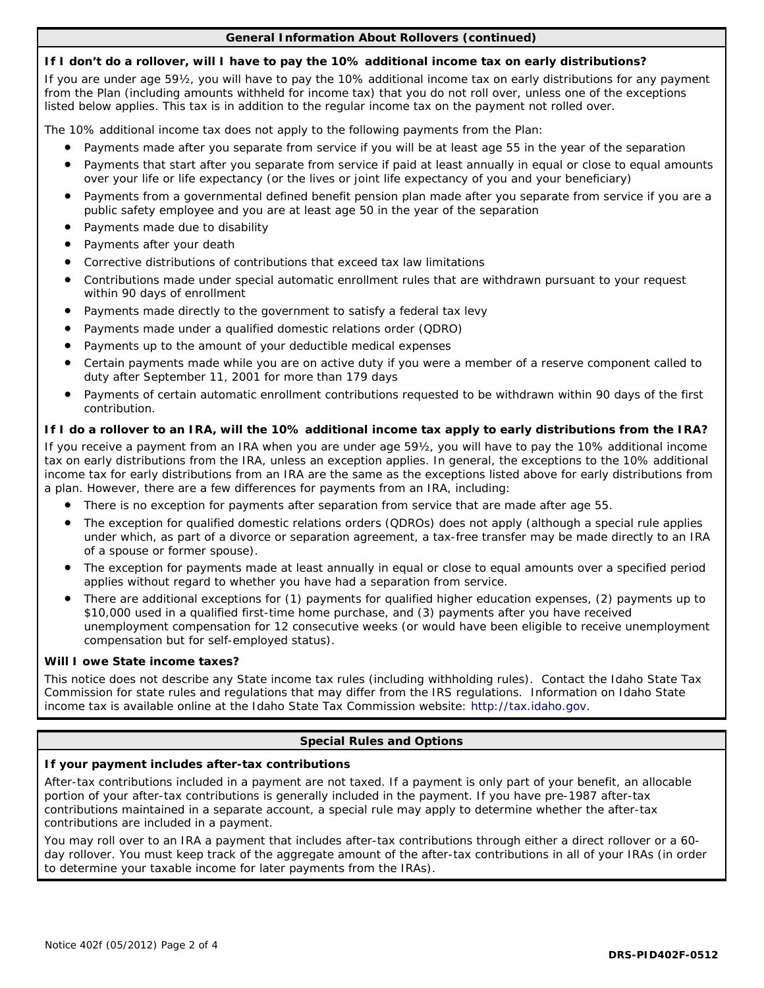# **General Information About Rollovers (continued)**

# **If I don't do a rollover, will I have to pay the 10% additional income tax on early distributions?**

If you are under age 59½, you will have to pay the 10% additional income tax on early distributions for any payment from the Plan (including amounts withheld for income tax) that you do not roll over, unless one of the exceptions listed below applies. This tax is in addition to the regular income tax on the payment not rolled over.

The 10% additional income tax does not apply to the following payments from the Plan:

- Payments made after you separate from service if you will be at least age 55 in the year of the separation
- Payments that start after you separate from service if paid at least annually in equal or close to equal amounts over your life or life expectancy (or the lives or joint life expectancy of you and your beneficiary)
- Payments from a governmental defined benefit pension plan made after you separate from service if you are a public safety employee and you are at least age 50 in the year of the separation
- Payments made due to disability
- Payments after your death
- Corrective distributions of contributions that exceed tax law limitations
- Contributions made under special automatic enrollment rules that are withdrawn pursuant to your request within 90 days of enrollment
- Payments made directly to the government to satisfy a federal tax levy
- Payments made under a qualified domestic relations order (QDRO)
- Payments up to the amount of your deductible medical expenses
- Certain payments made while you are on active duty if you were a member of a reserve component called to duty after September 11, 2001 for more than 179 days
- Payments of certain automatic enrollment contributions requested to be withdrawn within 90 days of the first contribution.

# **If I do a rollover to an IRA, will the 10% additional income tax apply to early distributions from the IRA?**

If you receive a payment from an IRA when you are under age 59½, you will have to pay the 10% additional income tax on early distributions from the IRA, unless an exception applies. In general, the exceptions to the 10% additional income tax for early distributions from an IRA are the same as the exceptions listed above for early distributions from a plan. However, there are a few differences for payments from an IRA, including:

- There is no exception for payments after separation from service that are made after age 55.
- The exception for qualified domestic relations orders (QDROs) does not apply (although a special rule applies under which, as part of a divorce or separation agreement, a tax-free transfer may be made directly to an IRA of a spouse or former spouse).
- The exception for payments made at least annually in equal or close to equal amounts over a specified period applies without regard to whether you have had a separation from service.
- There are additional exceptions for (1) payments for qualified higher education expenses, (2) payments up to \$10,000 used in a qualified first-time home purchase, and (3) payments after you have received unemployment compensation for 12 consecutive weeks (or would have been eligible to receive unemployment compensation but for self-employed status).

# **Will I owe State income taxes?**

This notice does not describe any State income tax rules (including withholding rules). Contact the Idaho State Tax Commission for state rules and regulations that may differ from the IRS regulations. Information on Idaho State income tax is available online at the Idaho State Tax Commission website: *http://tax.idaho.gov*.

# **Special Rules and Options**

# **If your payment includes after-tax contributions**

After-tax contributions included in a payment are not taxed. If a payment is only part of your benefit, an allocable portion of your after-tax contributions is generally included in the payment. If you have pre-1987 after-tax contributions maintained in a separate account, a special rule may apply to determine whether the after-tax contributions are included in a payment.

You may roll over to an IRA a payment that includes after-tax contributions through either a direct rollover or a 60 day rollover. You must keep track of the aggregate amount of the after-tax contributions in all of your IRAs (in order to determine your taxable income for later payments from the IRAs).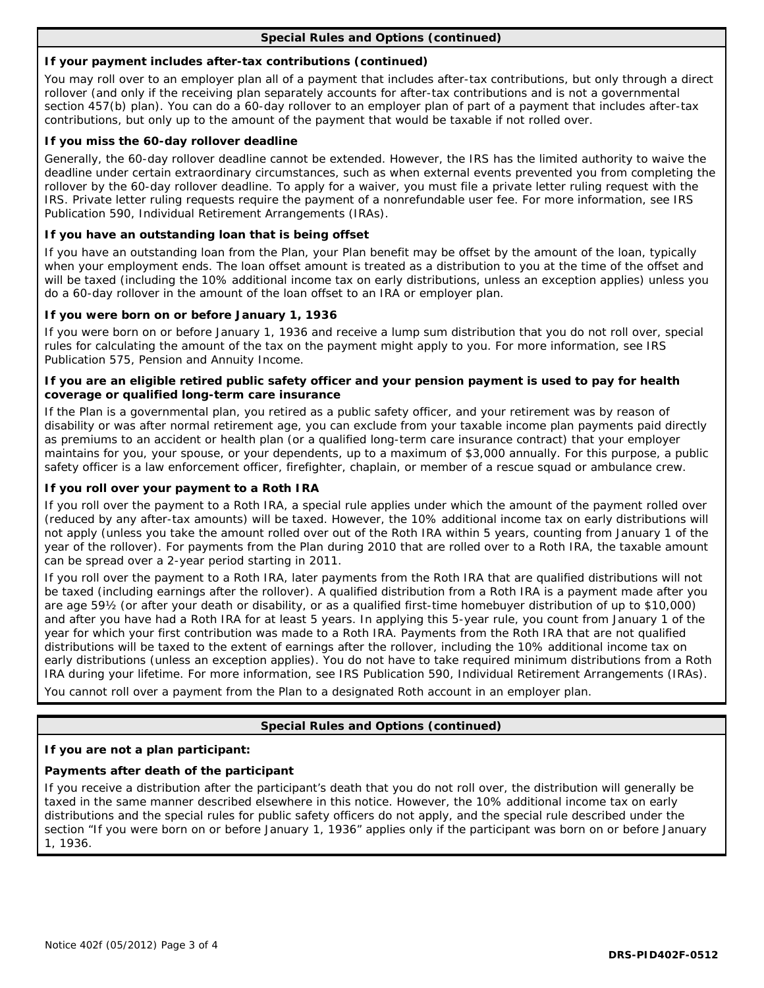# **Special Rules and Options (continued)**

# **If your payment includes after-tax contributions (continued)**

You may roll over to an employer plan all of a payment that includes after-tax contributions, but only through a direct rollover (and only if the receiving plan separately accounts for after-tax contributions and is not a governmental section 457(b) plan). You can do a 60-day rollover to an employer plan of part of a payment that includes after-tax contributions, but only up to the amount of the payment that would be taxable if not rolled over.

# **If you miss the 60-day rollover deadline**

Generally, the 60-day rollover deadline cannot be extended. However, the IRS has the limited authority to waive the deadline under certain extraordinary circumstances, such as when external events prevented you from completing the rollover by the 60-day rollover deadline. To apply for a waiver, you must file a private letter ruling request with the IRS. Private letter ruling requests require the payment of a nonrefundable user fee. For more information, see IRS Publication 590, Individual Retirement Arrangements (IRAs).

# **If you have an outstanding loan that is being offset**

If you have an outstanding loan from the Plan, your Plan benefit may be offset by the amount of the loan, typically when your employment ends. The loan offset amount is treated as a distribution to you at the time of the offset and will be taxed (including the 10% additional income tax on early distributions, unless an exception applies) unless you do a 60-day rollover in the amount of the loan offset to an IRA or employer plan.

# **If you were born on or before January 1, 1936**

If you were born on or before January 1, 1936 and receive a lump sum distribution that you do not roll over, special rules for calculating the amount of the tax on the payment might apply to you. For more information, see IRS Publication 575, Pension and Annuity Income.

# **If you are an eligible retired public safety officer and your pension payment is used to pay for health coverage or qualified long-term care insurance**

If the Plan is a governmental plan, you retired as a public safety officer, and your retirement was by reason of disability or was after normal retirement age, you can exclude from your taxable income plan payments paid directly as premiums to an accident or health plan (or a qualified long-term care insurance contract) that your employer maintains for you, your spouse, or your dependents, up to a maximum of \$3,000 annually. For this purpose, a public safety officer is a law enforcement officer, firefighter, chaplain, or member of a rescue squad or ambulance crew.

# **If you roll over your payment to a Roth IRA**

If you roll over the payment to a Roth IRA, a special rule applies under which the amount of the payment rolled over (reduced by any after-tax amounts) will be taxed. However, the 10% additional income tax on early distributions will not apply (unless you take the amount rolled over out of the Roth IRA within 5 years, counting from January 1 of the year of the rollover). For payments from the Plan during 2010 that are rolled over to a Roth IRA, the taxable amount can be spread over a 2-year period starting in 2011.

If you roll over the payment to a Roth IRA, later payments from the Roth IRA that are qualified distributions will not be taxed (including earnings after the rollover). A qualified distribution from a Roth IRA is a payment made after you are age 59½ (or after your death or disability, or as a qualified first-time homebuyer distribution of up to \$10,000) and after you have had a Roth IRA for at least 5 years. In applying this 5-year rule, you count from January 1 of the year for which your first contribution was made to a Roth IRA. Payments from the Roth IRA that are not qualified distributions will be taxed to the extent of earnings after the rollover, including the 10% additional income tax on early distributions (unless an exception applies). You do not have to take required minimum distributions from a Roth IRA during your lifetime. For more information, see IRS Publication 590, Individual Retirement Arrangements (IRAs).

You cannot roll over a payment from the Plan to a designated Roth account in an employer plan.

# **Special Rules and Options (continued)**

### **If you are not a plan participant:**

# **Payments after death of the participant**

If you receive a distribution after the participant's death that you do not roll over, the distribution will generally be taxed in the same manner described elsewhere in this notice. However, the 10% additional income tax on early distributions and the special rules for public safety officers do not apply, and the special rule described under the section "If you were born on or before January 1, 1936" applies only if the participant was born on or before January 1, 1936.